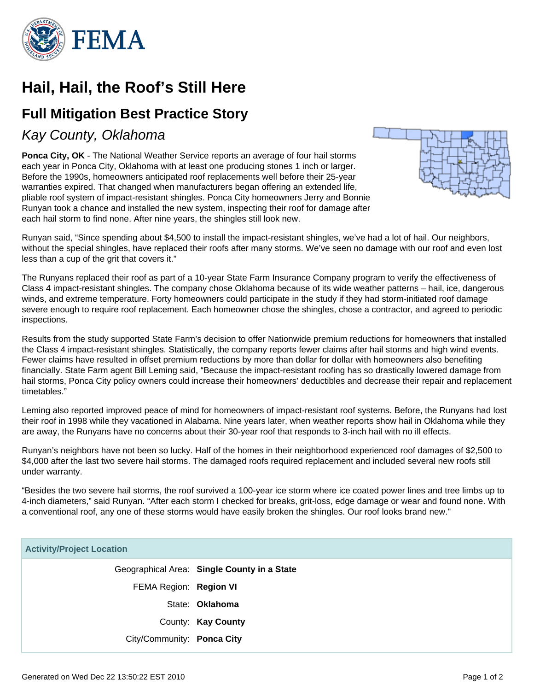

# **Hail, Hail, the Roof's Still Here**

# **Full Mitigation Best Practice Story**

## Kay County, Oklahoma

**Ponca City, OK** - The National Weather Service reports an average of four hail storms each year in Ponca City, Oklahoma with at least one producing stones 1 inch or larger. Before the 1990s, homeowners anticipated roof replacements well before their 25-year warranties expired. That changed when manufacturers began offering an extended life, pliable roof system of impact-resistant shingles. Ponca City homeowners Jerry and Bonnie Runyan took a chance and installed the new system, inspecting their roof for damage after each hail storm to find none. After nine years, the shingles still look new.



Runyan said, "Since spending about \$4,500 to install the impact-resistant shingles, we've had a lot of hail. Our neighbors, without the special shingles, have replaced their roofs after many storms. We've seen no damage with our roof and even lost less than a cup of the grit that covers it."

The Runyans replaced their roof as part of a 10-year State Farm Insurance Company program to verify the effectiveness of Class 4 impact-resistant shingles. The company chose Oklahoma because of its wide weather patterns – hail, ice, dangerous winds, and extreme temperature. Forty homeowners could participate in the study if they had storm-initiated roof damage severe enough to require roof replacement. Each homeowner chose the shingles, chose a contractor, and agreed to periodic inspections.

Results from the study supported State Farm's decision to offer Nationwide premium reductions for homeowners that installed the Class 4 impact-resistant shingles. Statistically, the company reports fewer claims after hail storms and high wind events. Fewer claims have resulted in offset premium reductions by more than dollar for dollar with homeowners also benefiting financially. State Farm agent Bill Leming said, "Because the impact-resistant roofing has so drastically lowered damage from hail storms, Ponca City policy owners could increase their homeowners' deductibles and decrease their repair and replacement timetables."

Leming also reported improved peace of mind for homeowners of impact-resistant roof systems. Before, the Runyans had lost their roof in 1998 while they vacationed in Alabama. Nine years later, when weather reports show hail in Oklahoma while they are away, the Runyans have no concerns about their 30-year roof that responds to 3-inch hail with no ill effects.

Runyan's neighbors have not been so lucky. Half of the homes in their neighborhood experienced roof damages of \$2,500 to \$4,000 after the last two severe hail storms. The damaged roofs required replacement and included several new roofs still under warranty.

"Besides the two severe hail storms, the roof survived a 100-year ice storm where ice coated power lines and tree limbs up to 4-inch diameters," said Runyan. "After each storm I checked for breaks, grit-loss, edge damage or wear and found none. With a conventional roof, any one of these storms would have easily broken the shingles. Our roof looks brand new."

#### **Activity/Project Location**

Geographical Area: **Single County in a State** FEMA Region: **Region VI** State: **Oklahoma** County: **Kay County** City/Community: **Ponca City**